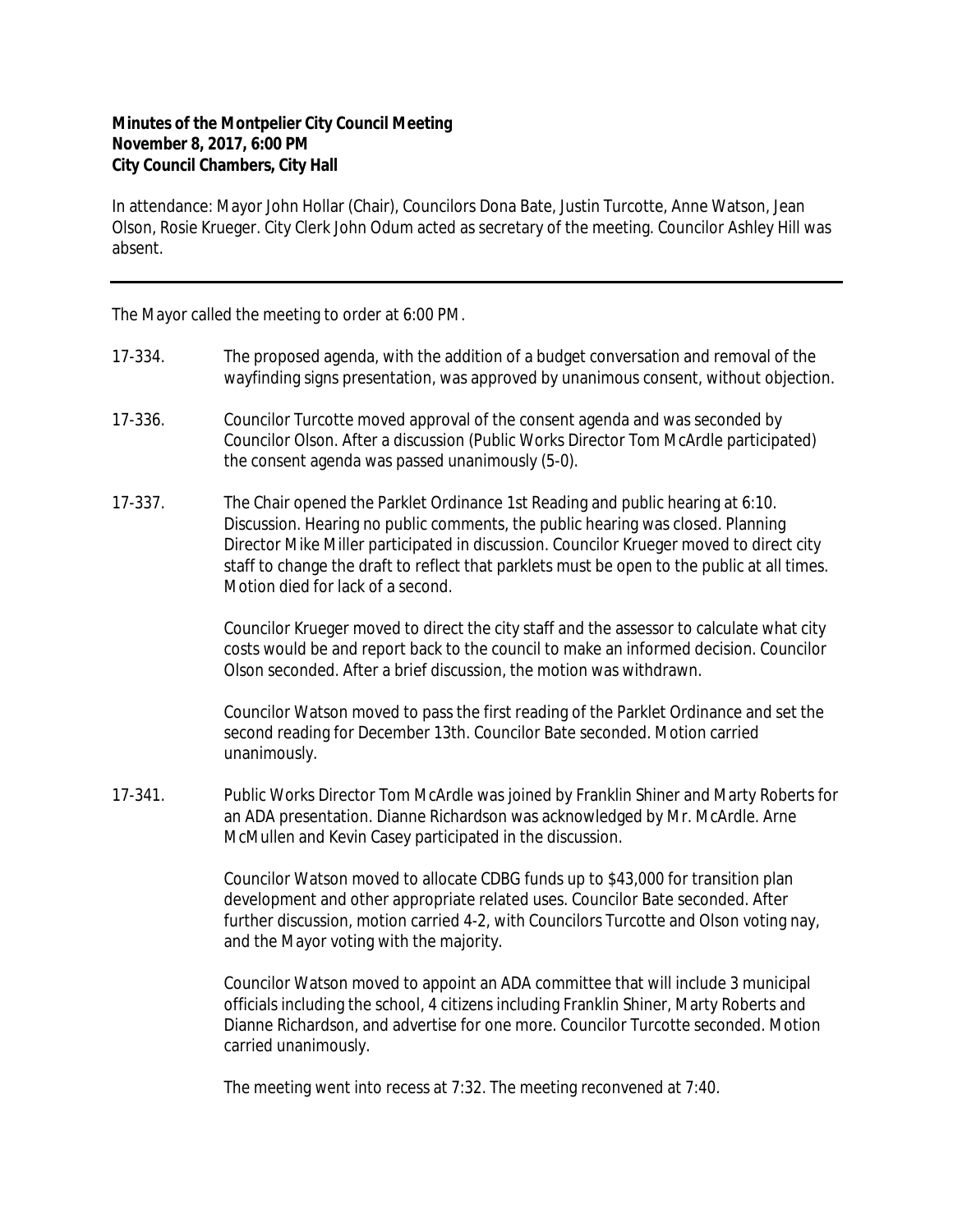## **Minutes of the Montpelier City Council Meeting November 8, 2017, 6:00 PM City Council Chambers, City Hall**

In attendance: Mayor John Hollar (Chair), Councilors Dona Bate, Justin Turcotte, Anne Watson, Jean Olson, Rosie Krueger. City Clerk John Odum acted as secretary of the meeting. Councilor Ashley Hill was absent.

The Mayor called the meeting to order at 6:00 PM.

- 17-334. The proposed agenda, with the addition of a budget conversation and removal of the wayfinding signs presentation, was approved by unanimous consent, without objection.
- 17-336. Councilor Turcotte moved approval of the consent agenda and was seconded by Councilor Olson. After a discussion (Public Works Director Tom McArdle participated) the consent agenda was passed unanimously (5-0).
- 17-337. The Chair opened the Parklet Ordinance 1st Reading and public hearing at 6:10. Discussion. Hearing no public comments, the public hearing was closed. Planning Director Mike Miller participated in discussion. Councilor Krueger moved to direct city staff to change the draft to reflect that parklets must be open to the public at all times. Motion died for lack of a second.

Councilor Krueger moved to direct the city staff and the assessor to calculate what city costs would be and report back to the council to make an informed decision. Councilor Olson seconded. After a brief discussion, the motion was withdrawn.

Councilor Watson moved to pass the first reading of the Parklet Ordinance and set the second reading for December 13th. Councilor Bate seconded. Motion carried unanimously.

17-341. Public Works Director Tom McArdle was joined by Franklin Shiner and Marty Roberts for an ADA presentation. Dianne Richardson was acknowledged by Mr. McArdle. Arne McMullen and Kevin Casey participated in the discussion.

> Councilor Watson moved to allocate CDBG funds up to \$43,000 for transition plan development and other appropriate related uses. Councilor Bate seconded. After further discussion, motion carried 4-2, with Councilors Turcotte and Olson voting nay, and the Mayor voting with the majority.

> Councilor Watson moved to appoint an ADA committee that will include 3 municipal officials including the school, 4 citizens including Franklin Shiner, Marty Roberts and Dianne Richardson, and advertise for one more. Councilor Turcotte seconded. Motion carried unanimously.

The meeting went into recess at 7:32. The meeting reconvened at 7:40.